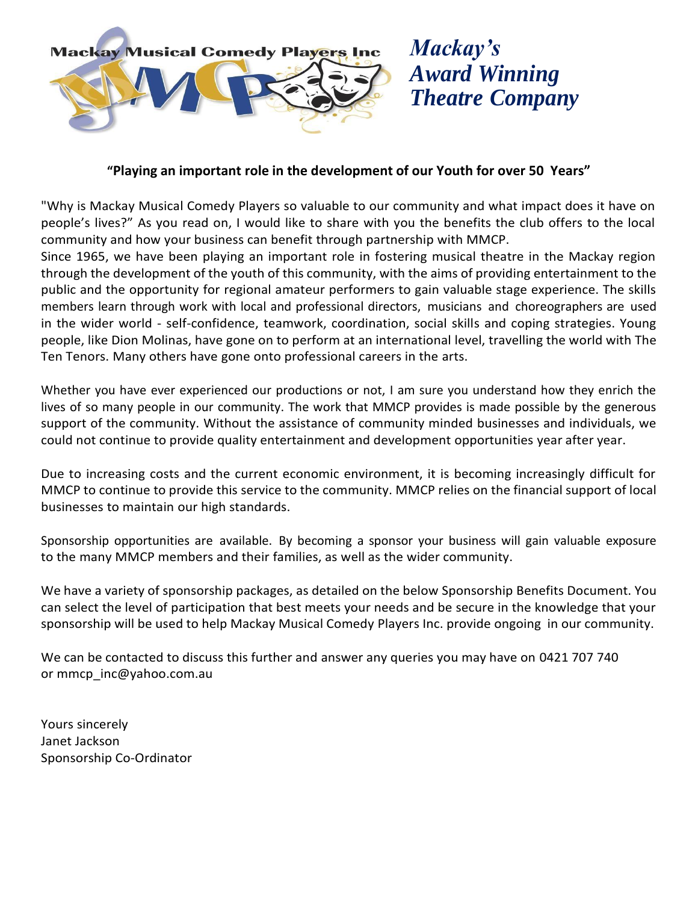

# *Mackay's Award Winning Theatre Company*

# **"Playing an important role in the development of our Youth for over 50 Years"**

"Why is Mackay Musical Comedy Players so valuable to our community and what impact does it have on people's lives?" As you read on, I would like to share with you the benefits the club offers to the local community and how your business can benefit through partnership with MMCP.

Since 1965, we have been playing an important role in fostering musical theatre in the Mackay region through the development of the youth of this community, with the aims of providing entertainment to the public and the opportunity for regional amateur performers to gain valuable stage experience. The skills members learn through work with local and professional directors, musicians and choreographers are used in the wider world - self-confidence, teamwork, coordination, social skills and coping strategies. Young people, like Dion Molinas, have gone on to perform at an international level, travelling the world with The Ten Tenors. Many others have gone onto professional careers in the arts.

Whether you have ever experienced our productions or not, I am sure you understand how they enrich the lives of so many people in our community. The work that MMCP provides is made possible by the generous support of the community. Without the assistance of community minded businesses and individuals, we could not continue to provide quality entertainment and development opportunities year after year.

Due to increasing costs and the current economic environment, it is becoming increasingly difficult for MMCP to continue to provide this service to the community. MMCP relies on the financial support of local businesses to maintain our high standards.

Sponsorship opportunities are available. By becoming a sponsor your business will gain valuable exposure to the many MMCP members and their families, as well as the wider community.

We have a variety of sponsorship packages, as detailed on the below Sponsorship Benefits Document. You can select the level of participation that best meets your needs and be secure in the knowledge that your sponsorship will be used to help Mackay Musical Comedy Players Inc. provide ongoing in our community.

We can be contacted to discuss this further and answer any queries you may have on 0421 707 740 or [mmcp\\_inc@yahoo.com.au](mailto:mcp_inc@yahoo.com.au)

Yours sincerely Janet Jackson Sponsorship Co-Ordinator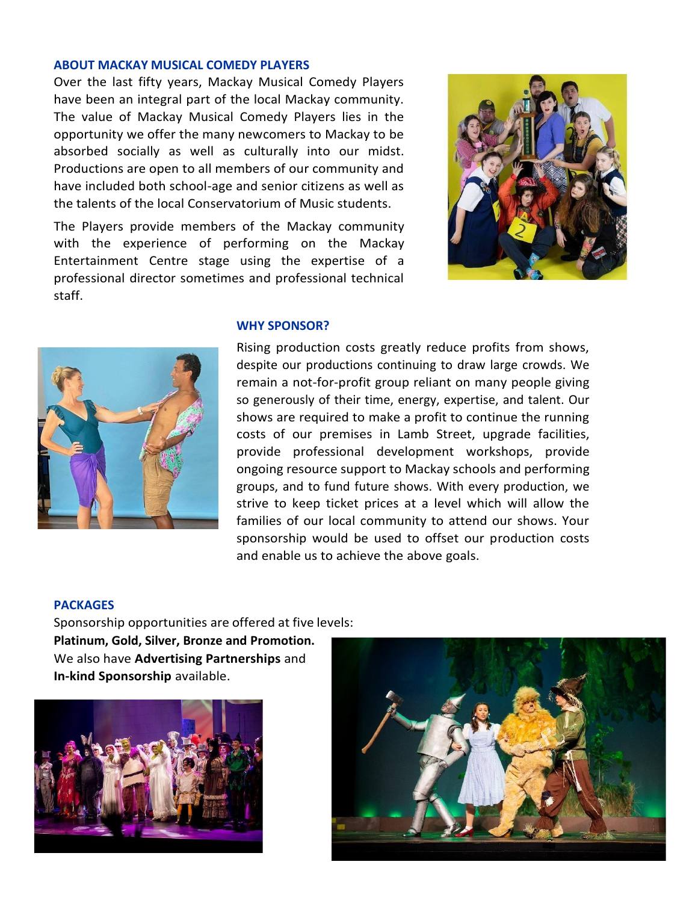## **ABOUT MACKAY MUSICAL COMEDY PLAYERS**

Over the last fifty years, Mackay Musical Comedy Players have been an integral part of the local Mackay community. The value of Mackay Musical Comedy Players lies in the opportunity we offer the many newcomers to Mackay to be absorbed socially as well as culturally into our midst. Productions are open to all members of our community and have included both school-age and senior citizens as well as the talents of the local Conservatorium of Music students.

The Players provide members of the Mackay community with the experience of performing on the Mackay Entertainment Centre stage using the expertise of a professional director sometimes and professional technical staff.





### **WHY SPONSOR?**

Rising production costs greatly reduce profits from shows, despite our productions continuing to draw large crowds. We remain a not-for-profit group reliant on many people giving so generously of their time, energy, expertise, and talent. Our shows are required to make a profit to continue the running costs of our premises in Lamb Street, upgrade facilities, provide professional development workshops, provide ongoing resource support to Mackay schools and performing groups, and to fund future shows. With every production, we strive to keep ticket prices at a level which will allow the families of our local community to attend our shows. Your sponsorship would be used to offset our production costs and enable us to achieve the above goals.

### **PACKAGES**

Sponsorship opportunities are offered at five levels: **Platinum, Gold, Silver, Bronze and Promotion.** We also have **Advertising Partnerships** and **In-kind Sponsorship** available.